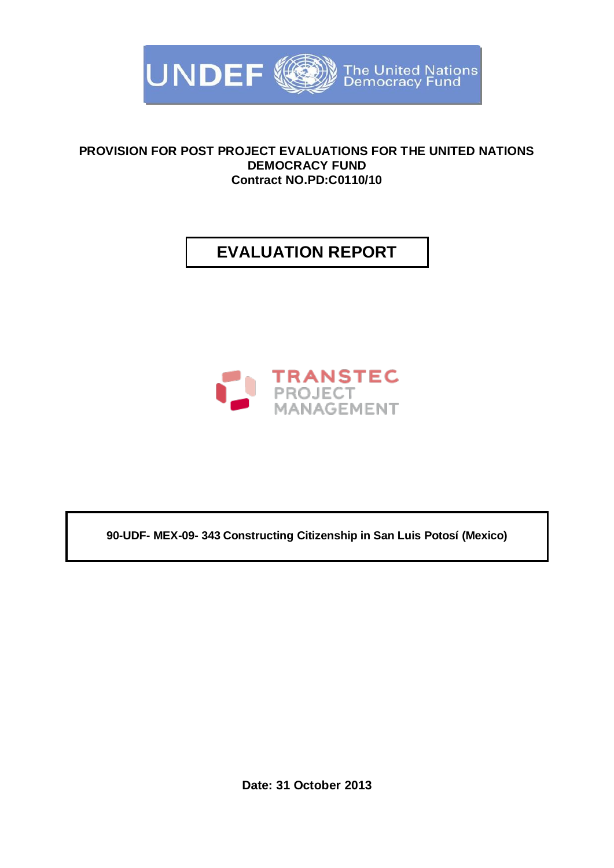

### **PROVISION FOR POST PROJECT EVALUATIONS FOR THE UNITED NATIONS DEMOCRACY FUND Contract NO.PD:C0110/10**

# **EVALUATION REPORT**



**90-UDF- MEX-09- 343 Constructing Citizenship in San Luis Potosí (Mexico)**

**Date: 31 October 2013**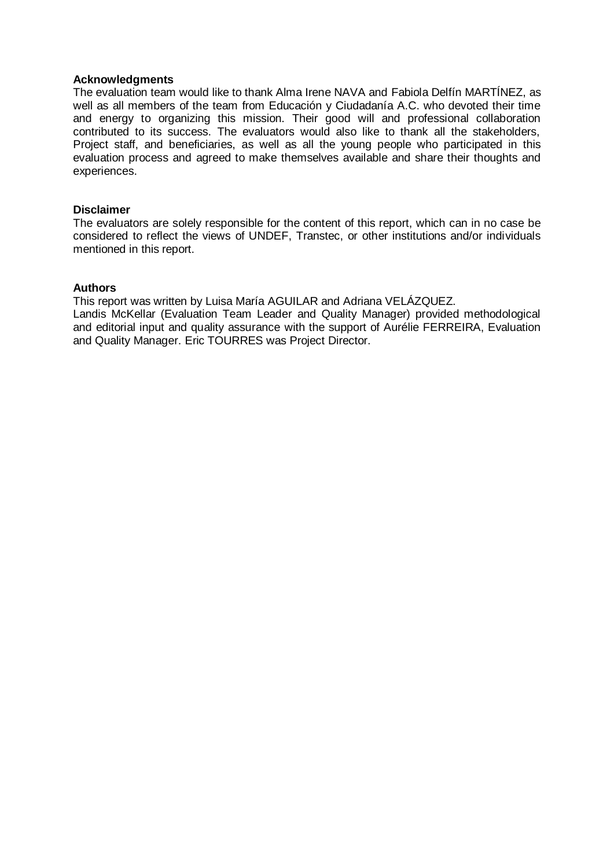#### **Acknowledgments**

The evaluation team would like to thank Alma Irene NAVA and Fabiola Delfín MARTÍNEZ, as well as all members of the team from Educación y Ciudadanía A.C. who devoted their time and energy to organizing this mission. Their good will and professional collaboration contributed to its success. The evaluators would also like to thank all the stakeholders, Project staff, and beneficiaries, as well as all the young people who participated in this evaluation process and agreed to make themselves available and share their thoughts and experiences.

#### **Disclaimer**

The evaluators are solely responsible for the content of this report, which can in no case be considered to reflect the views of UNDEF, Transtec, or other institutions and/or individuals mentioned in this report.

#### **Authors**

This report was written by Luisa María AGUILAR and Adriana VELÁZQUEZ.

Landis McKellar (Evaluation Team Leader and Quality Manager) provided methodological and editorial input and quality assurance with the support of Aurélie FERREIRA, Evaluation and Quality Manager. Eric TOURRES was Project Director.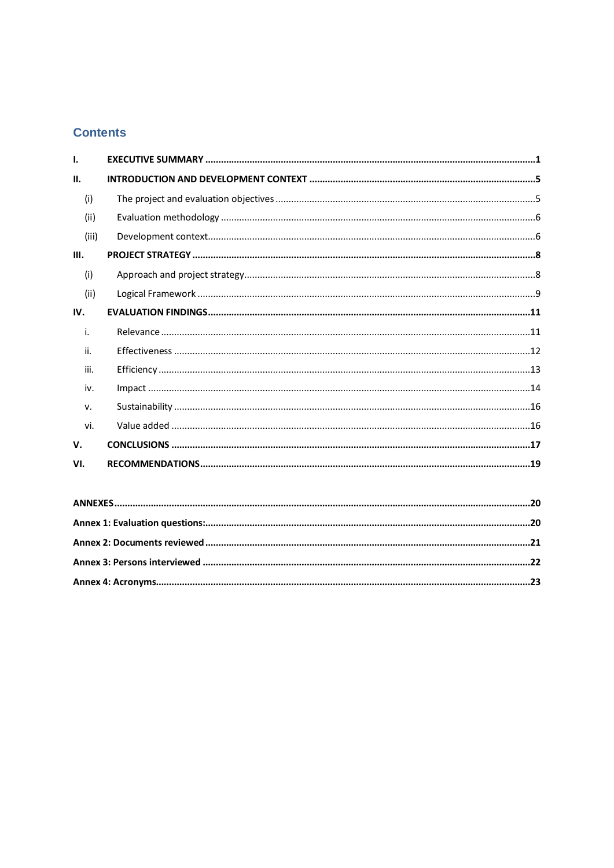### **Contents**

| $\mathbf{I}$ |  |  |  |  |  |  |  |
|--------------|--|--|--|--|--|--|--|
| П.           |  |  |  |  |  |  |  |
| (i)          |  |  |  |  |  |  |  |
| (ii)         |  |  |  |  |  |  |  |
| (iii)        |  |  |  |  |  |  |  |
| Ш.           |  |  |  |  |  |  |  |
| (i)          |  |  |  |  |  |  |  |
| (ii)         |  |  |  |  |  |  |  |
| IV.          |  |  |  |  |  |  |  |
| i.           |  |  |  |  |  |  |  |
| ii.          |  |  |  |  |  |  |  |
| iii.         |  |  |  |  |  |  |  |
| iv.          |  |  |  |  |  |  |  |
| v.           |  |  |  |  |  |  |  |
| vi.          |  |  |  |  |  |  |  |
| V.           |  |  |  |  |  |  |  |
| VI.          |  |  |  |  |  |  |  |
|              |  |  |  |  |  |  |  |
|              |  |  |  |  |  |  |  |
|              |  |  |  |  |  |  |  |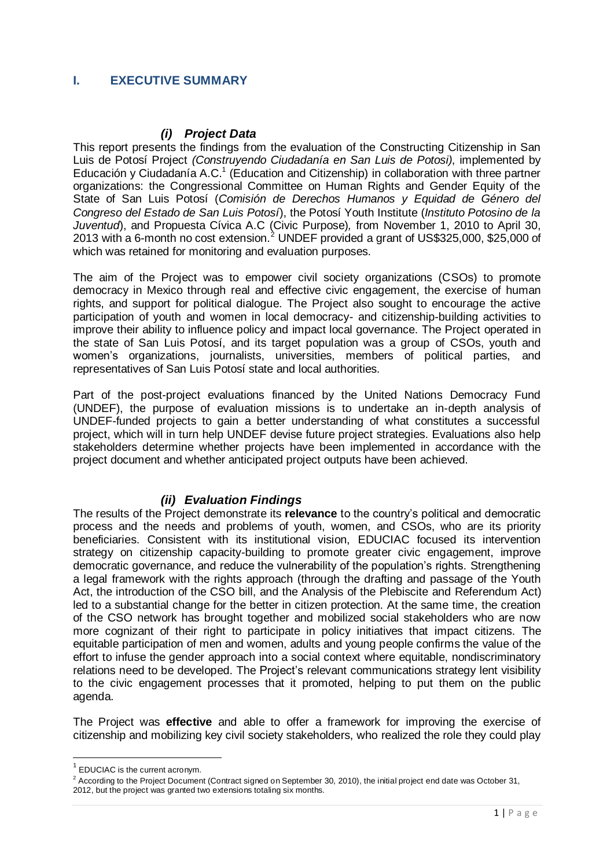### <span id="page-3-0"></span>**I. EXECUTIVE SUMMARY**

#### *(i) Project Data*

This report presents the findings from the evaluation of the Constructing Citizenship in San Luis de Potosí Project *(Construyendo Ciudadanía en San Luis de Potosi)*, implemented by Educación y Ciudadanía A.C.<sup>1</sup> (Education and Citizenship) in collaboration with three partner organizations: the Congressional Committee on Human Rights and Gender Equity of the State of San Luis Potosí (*Comisión de Derechos Humanos y Equidad de Género del Congreso del Estado de San Luis Potosí*), the Potosí Youth Institute (*Instituto Potosino de la Juventud*), and Propuesta Cívica A.C (Civic Purpose)*,* from November 1, 2010 to April 30, 2013 with a 6-month no cost extension. <sup>2</sup> UNDEF provided a grant of US\$325,000, \$25,000 of which was retained for monitoring and evaluation purposes.

The aim of the Project was to empower civil society organizations (CSOs) to promote democracy in Mexico through real and effective civic engagement, the exercise of human rights, and support for political dialogue. The Project also sought to encourage the active participation of youth and women in local democracy- and citizenship-building activities to improve their ability to influence policy and impact local governance. The Project operated in the state of San Luis Potosí, and its target population was a group of CSOs, youth and women's organizations, journalists, universities, members of political parties, and representatives of San Luis Potosí state and local authorities.

Part of the post-project evaluations financed by the United Nations Democracy Fund (UNDEF), the purpose of evaluation missions is to undertake an in-depth analysis of UNDEF-funded projects to gain a better understanding of what constitutes a successful project, which will in turn help UNDEF devise future project strategies. Evaluations also help stakeholders determine whether projects have been implemented in accordance with the project document and whether anticipated project outputs have been achieved.

### *(ii) Evaluation Findings*

The results of the Project demonstrate its **relevance** to the country's political and democratic process and the needs and problems of youth, women, and CSOs, who are its priority beneficiaries. Consistent with its institutional vision, EDUCIAC focused its intervention strategy on citizenship capacity-building to promote greater civic engagement, improve democratic governance, and reduce the vulnerability of the population's rights. Strengthening a legal framework with the rights approach (through the drafting and passage of the Youth Act, the introduction of the CSO bill, and the Analysis of the Plebiscite and Referendum Act) led to a substantial change for the better in citizen protection. At the same time, the creation of the CSO network has brought together and mobilized social stakeholders who are now more cognizant of their right to participate in policy initiatives that impact citizens. The equitable participation of men and women, adults and young people confirms the value of the effort to infuse the gender approach into a social context where equitable, nondiscriminatory relations need to be developed. The Project's relevant communications strategy lent visibility to the civic engagement processes that it promoted, helping to put them on the public agenda.

The Project was **effective** and able to offer a framework for improving the exercise of citizenship and mobilizing key civil society stakeholders, who realized the role they could play

**EDUCIAC** is the current acronym.

 $2$  According to the Project Document (Contract signed on September 30, 2010), the initial project end date was October 31, 2012, but the project was granted two extensions totaling six months.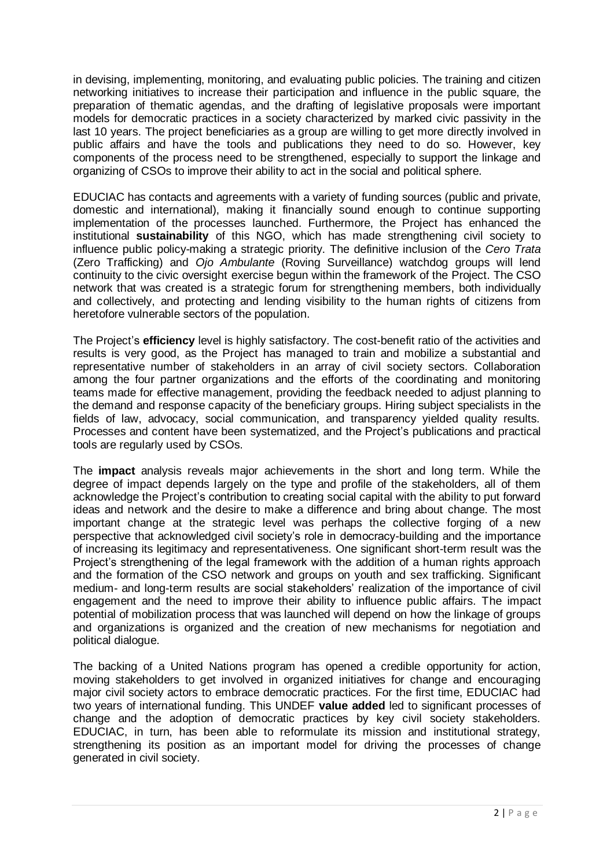in devising, implementing, monitoring, and evaluating public policies. The training and citizen networking initiatives to increase their participation and influence in the public square, the preparation of thematic agendas, and the drafting of legislative proposals were important models for democratic practices in a society characterized by marked civic passivity in the last 10 years. The project beneficiaries as a group are willing to get more directly involved in public affairs and have the tools and publications they need to do so. However, key components of the process need to be strengthened, especially to support the linkage and organizing of CSOs to improve their ability to act in the social and political sphere.

EDUCIAC has contacts and agreements with a variety of funding sources (public and private, domestic and international), making it financially sound enough to continue supporting implementation of the processes launched. Furthermore, the Project has enhanced the institutional **sustainability** of this NGO, which has made strengthening civil society to influence public policy-making a strategic priority. The definitive inclusion of the *Cero Trata*  (Zero Trafficking) and *Ojo Ambulante* (Roving Surveillance) watchdog groups will lend continuity to the civic oversight exercise begun within the framework of the Project. The CSO network that was created is a strategic forum for strengthening members, both individually and collectively, and protecting and lending visibility to the human rights of citizens from heretofore vulnerable sectors of the population.

The Project's **efficiency** level is highly satisfactory. The cost-benefit ratio of the activities and results is very good, as the Project has managed to train and mobilize a substantial and representative number of stakeholders in an array of civil society sectors. Collaboration among the four partner organizations and the efforts of the coordinating and monitoring teams made for effective management, providing the feedback needed to adjust planning to the demand and response capacity of the beneficiary groups. Hiring subject specialists in the fields of law, advocacy, social communication, and transparency yielded quality results. Processes and content have been systematized, and the Project's publications and practical tools are regularly used by CSOs.

The **impact** analysis reveals major achievements in the short and long term. While the degree of impact depends largely on the type and profile of the stakeholders, all of them acknowledge the Project's contribution to creating social capital with the ability to put forward ideas and network and the desire to make a difference and bring about change. The most important change at the strategic level was perhaps the collective forging of a new perspective that acknowledged civil society's role in democracy-building and the importance of increasing its legitimacy and representativeness. One significant short-term result was the Project's strengthening of the legal framework with the addition of a human rights approach and the formation of the CSO network and groups on youth and sex trafficking. Significant medium- and long-term results are social stakeholders' realization of the importance of civil engagement and the need to improve their ability to influence public affairs. The impact potential of mobilization process that was launched will depend on how the linkage of groups and organizations is organized and the creation of new mechanisms for negotiation and political dialogue.

The backing of a United Nations program has opened a credible opportunity for action, moving stakeholders to get involved in organized initiatives for change and encouraging major civil society actors to embrace democratic practices. For the first time, EDUCIAC had two years of international funding. This UNDEF **value added** led to significant processes of change and the adoption of democratic practices by key civil society stakeholders. EDUCIAC, in turn, has been able to reformulate its mission and institutional strategy, strengthening its position as an important model for driving the processes of change generated in civil society.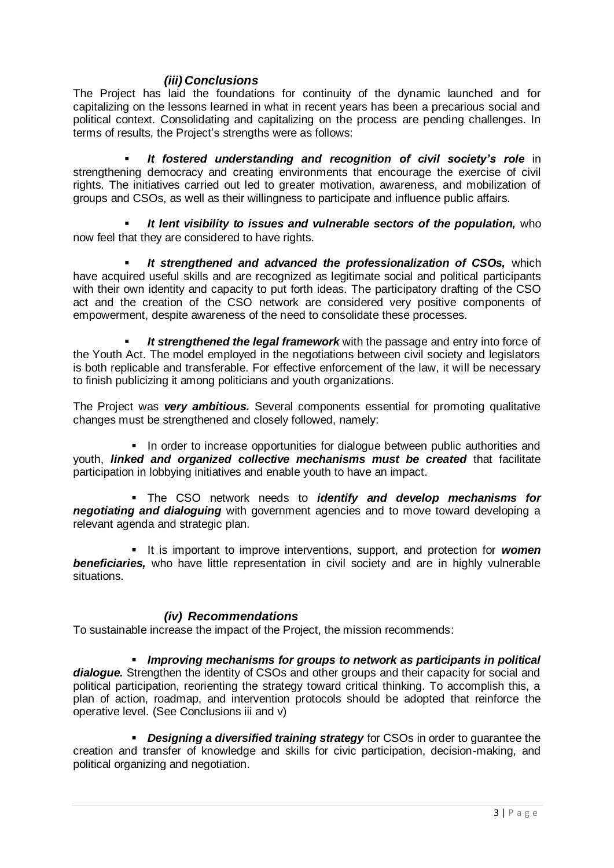### *(iii) Conclusions*

The Project has laid the foundations for continuity of the dynamic launched and for capitalizing on the lessons learned in what in recent years has been a precarious social and political context. Consolidating and capitalizing on the process are pending challenges. In terms of results, the Project's strengths were as follows:

 *It fostered understanding and recognition of civil society's role* in strengthening democracy and creating environments that encourage the exercise of civil rights. The initiatives carried out led to greater motivation, awareness, and mobilization of groups and CSOs, as well as their willingness to participate and influence public affairs.

 *It lent visibility to issues and vulnerable sectors of the population,* who now feel that they are considered to have rights.

 *It strengthened and advanced the professionalization of CSOs,* which have acquired useful skills and are recognized as legitimate social and political participants with their own identity and capacity to put forth ideas. The participatory drafting of the CSO act and the creation of the CSO network are considered very positive components of empowerment, despite awareness of the need to consolidate these processes.

 *It strengthened the legal framework* with the passage and entry into force of the Youth Act. The model employed in the negotiations between civil society and legislators is both replicable and transferable. For effective enforcement of the law, it will be necessary to finish publicizing it among politicians and youth organizations.

The Project was *very ambitious.* Several components essential for promoting qualitative changes must be strengthened and closely followed, namely:

In order to increase opportunities for dialogue between public authorities and youth, *linked and organized collective mechanisms must be created* that facilitate participation in lobbying initiatives and enable youth to have an impact.

 The CSO network needs to *identify and develop mechanisms for negotiating and dialoguing* with government agencies and to move toward developing a relevant agenda and strategic plan.

It is important to improve interventions, support, and protection for **women beneficiaries,** who have little representation in civil society and are in highly vulnerable situations.

#### *(iv) Recommendations*

To sustainable increase the impact of the Project, the mission recommends:

 *Improving mechanisms for groups to network as participants in political dialogue.* Strengthen the identity of CSOs and other groups and their capacity for social and political participation, reorienting the strategy toward critical thinking. To accomplish this, a plan of action, roadmap, and intervention protocols should be adopted that reinforce the operative level. (See Conclusions iii and v)

 *Designing a diversified training strategy* for CSOs in order to guarantee the creation and transfer of knowledge and skills for civic participation, decision-making, and political organizing and negotiation.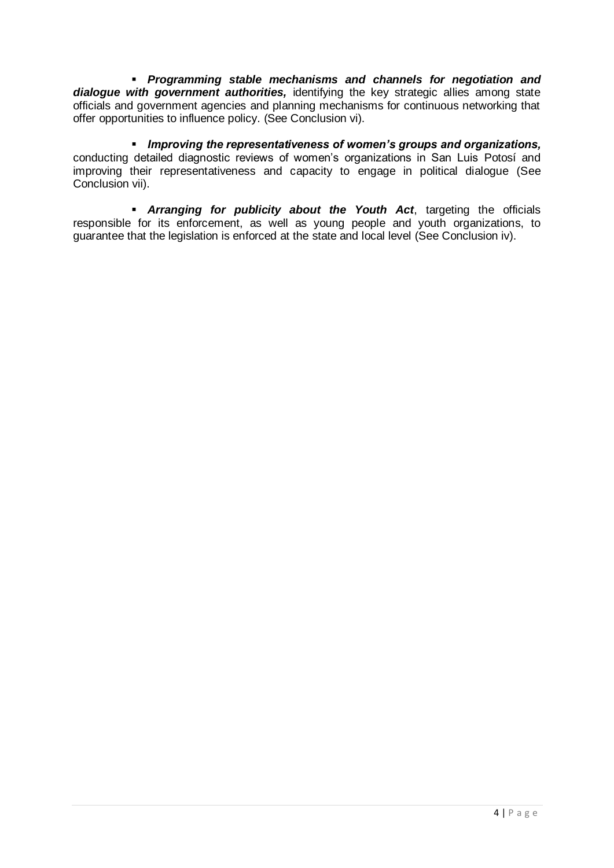*Programming stable mechanisms and channels for negotiation and dialogue with government authorities,* identifying the key strategic allies among state officials and government agencies and planning mechanisms for continuous networking that offer opportunities to influence policy. (See Conclusion vi).

 *Improving the representativeness of women's groups and organizations,*  conducting detailed diagnostic reviews of women's organizations in San Luis Potosí and improving their representativeness and capacity to engage in political dialogue (See Conclusion vii).

<span id="page-6-0"></span> *Arranging for publicity about the Youth Act*, targeting the officials responsible for its enforcement, as well as young people and youth organizations, to guarantee that the legislation is enforced at the state and local level (See Conclusion iv).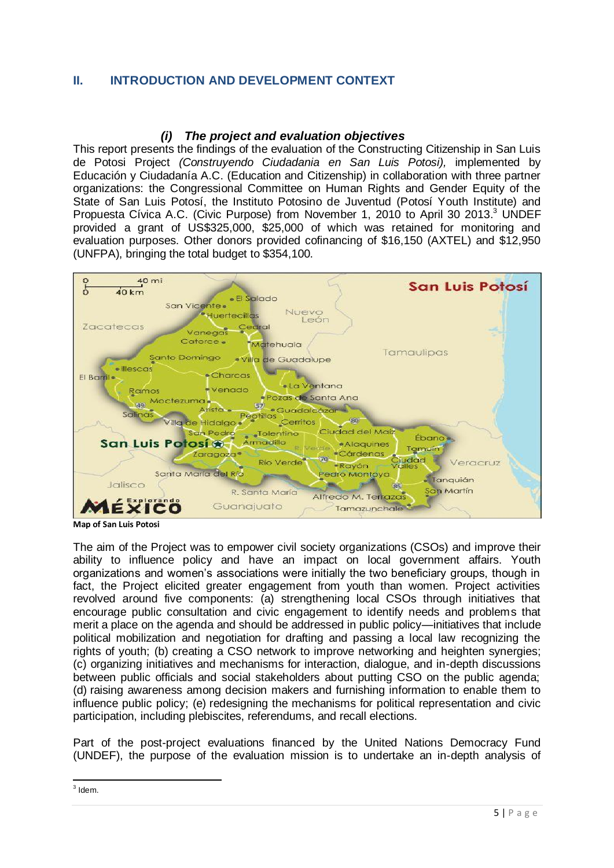### **II. INTRODUCTION AND DEVELOPMENT CONTEXT**

### *(i) The project and evaluation objectives*

<span id="page-7-0"></span>This report presents the findings of the evaluation of the Constructing Citizenship in San Luis de Potosi Project *(Construyendo Ciudadania en San Luis Potosi),* implemented by Educación y Ciudadanía A.C. (Education and Citizenship) in collaboration with three partner organizations: the Congressional Committee on Human Rights and Gender Equity of the State of San Luis Potosí, the Instituto Potosino de Juventud (Potosí Youth Institute) and Propuesta Cívica A.C. (Civic Purpose) from November 1, 2010 to April 30 2013.<sup>3</sup> UNDEF provided a grant of US\$325,000, \$25,000 of which was retained for monitoring and evaluation purposes. Other donors provided cofinancing of \$16,150 (AXTEL) and \$12,950 (UNFPA), bringing the total budget to \$354,100.



**Map of San Luis Potosi**

The aim of the Project was to empower civil society organizations (CSOs) and improve their ability to influence policy and have an impact on local government affairs. Youth organizations and women's associations were initially the two beneficiary groups, though in fact, the Project elicited greater engagement from youth than women. Project activities revolved around five components: (a) strengthening local CSOs through initiatives that encourage public consultation and civic engagement to identify needs and problems that merit a place on the agenda and should be addressed in public policy—initiatives that include political mobilization and negotiation for drafting and passing a local law recognizing the rights of youth; (b) creating a CSO network to improve networking and heighten synergies; (c) organizing initiatives and mechanisms for interaction, dialogue, and in-depth discussions between public officials and social stakeholders about putting CSO on the public agenda; (d) raising awareness among decision makers and furnishing information to enable them to influence public policy; (e) redesigning the mechanisms for political representation and civic participation, including plebiscites, referendums, and recall elections.

Part of the post-project evaluations financed by the United Nations Democracy Fund (UNDEF), the purpose of the evaluation mission is to undertake an in-depth analysis of

 $3$  Idem.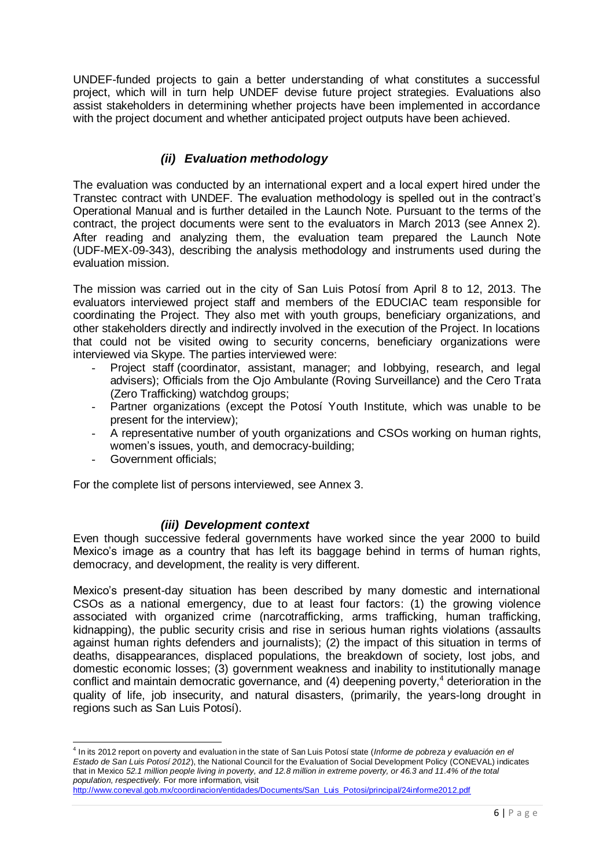UNDEF-funded projects to gain a better understanding of what constitutes a successful project, which will in turn help UNDEF devise future project strategies. Evaluations also assist stakeholders in determining whether projects have been implemented in accordance with the project document and whether anticipated project outputs have been achieved.

### *(ii) Evaluation methodology*

<span id="page-8-0"></span>The evaluation was conducted by an international expert and a local expert hired under the Transtec contract with UNDEF. The evaluation methodology is spelled out in the contract's Operational Manual and is further detailed in the Launch Note. Pursuant to the terms of the contract, the project documents were sent to the evaluators in March 2013 (see Annex 2). After reading and analyzing them, the evaluation team prepared the Launch Note (UDF-MEX-09-343), describing the analysis methodology and instruments used during the evaluation mission.

The mission was carried out in the city of San Luis Potosí from April 8 to 12, 2013. The evaluators interviewed project staff and members of the EDUCIAC team responsible for coordinating the Project. They also met with youth groups, beneficiary organizations, and other stakeholders directly and indirectly involved in the execution of the Project. In locations that could not be visited owing to security concerns, beneficiary organizations were interviewed via Skype. The parties interviewed were:

- Proiect staff (coordinator, assistant, manager; and lobbying, research, and legal advisers); Officials from the Ojo Ambulante (Roving Surveillance) and the Cero Trata (Zero Trafficking) watchdog groups;
- Partner organizations (except the Potosí Youth Institute, which was unable to be present for the interview);
- A representative number of youth organizations and CSOs working on human rights, women's issues, youth, and democracy-building;
- Government officials;

For the complete list of persons interviewed, see Annex 3.

#### *(iii) Development context*

<span id="page-8-1"></span>Even though successive federal governments have worked since the year 2000 to build Mexico's image as a country that has left its baggage behind in terms of human rights, democracy, and development, the reality is very different.

Mexico's present-day situation has been described by many domestic and international CSOs as a national emergency, due to at least four factors: (1) the growing violence associated with organized crime (narcotrafficking, arms trafficking, human trafficking, kidnapping), the public security crisis and rise in serious human rights violations (assaults against human rights defenders and journalists); (2) the impact of this situation in terms of deaths, disappearances, displaced populations, the breakdown of society, lost jobs, and domestic economic losses; (3) government weakness and inability to institutionally manage conflict and maintain democratic governance, and  $(4)$  deepening poverty,<sup>4</sup> deterioration in the quality of life, job insecurity, and natural disasters, (primarily, the years-long drought in regions such as San Luis Potosí).

 4 In its 2012 report on poverty and evaluation in the state of San Luis Potosí state (*Informe de pobreza y evaluación en el Estado de San Luis Potosí 2012*), the National Council for the Evaluation of Social Development Policy (CONEVAL) indicates that in Mexico *52.1 million people living in poverty, and 12.8 million in extreme poverty, or 46.3 and 11.4% of the total population, respectively.* For more information, visit

[http://www.coneval.gob.mx/coordinacion/entidades/Documents/San\\_Luis\\_Potosi/principal/24informe2012.pdf](http://www.coneval.gob.mx/coordinacion/entidades/Documents/San_Luis_Potosi/principal/24informe2012.pdf)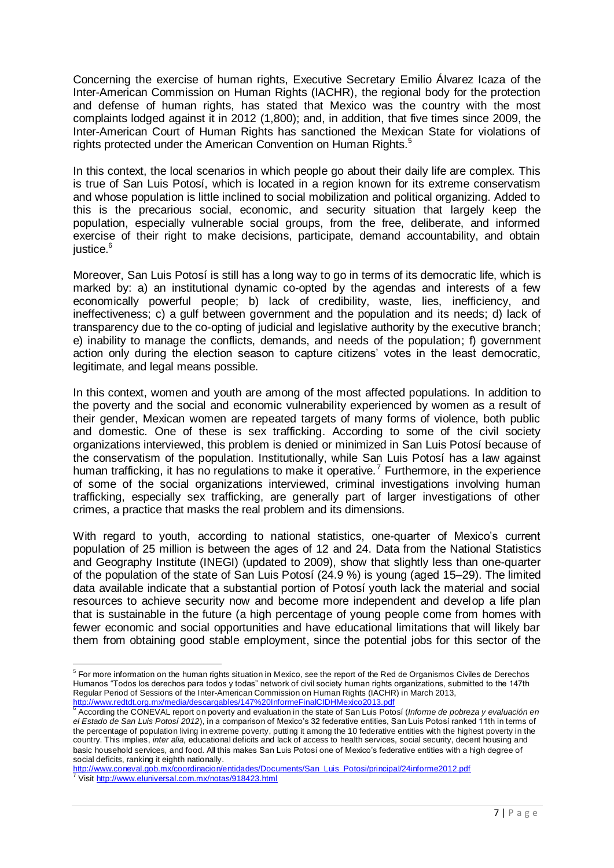Concerning the exercise of human rights, Executive Secretary Emilio Álvarez Icaza of the Inter-American Commission on Human Rights (IACHR), the regional body for the protection and defense of human rights, has stated that Mexico was the country with the most complaints lodged against it in 2012 (1,800); and, in addition, that five times since 2009, the Inter-American Court of Human Rights has sanctioned the Mexican State for violations of rights protected under the American Convention on Human Rights.<sup>5</sup>

In this context, the local scenarios in which people go about their daily life are complex. This is true of San Luis Potosí, which is located in a region known for its extreme conservatism and whose population is little inclined to social mobilization and political organizing. Added to this is the precarious social, economic, and security situation that largely keep the population, especially vulnerable social groups, from the free, deliberate, and informed exercise of their right to make decisions, participate, demand accountability, and obtain justice.<sup>6</sup>

Moreover, San Luis Potosí is still has a long way to go in terms of its democratic life, which is marked by: a) an institutional dynamic co-opted by the agendas and interests of a few economically powerful people; b) lack of credibility, waste, lies, inefficiency, and ineffectiveness; c) a gulf between government and the population and its needs; d) lack of transparency due to the co-opting of judicial and legislative authority by the executive branch; e) inability to manage the conflicts, demands, and needs of the population; f) government action only during the election season to capture citizens' votes in the least democratic, legitimate, and legal means possible.

In this context, women and youth are among of the most affected populations. In addition to the poverty and the social and economic vulnerability experienced by women as a result of their gender, Mexican women are repeated targets of many forms of violence, both public and domestic. One of these is sex trafficking. According to some of the civil society organizations interviewed, this problem is denied or minimized in San Luis Potosí because of the conservatism of the population. Institutionally, while San Luis Potosí has a law against human trafficking, it has no regulations to make it operative.<sup>7</sup> Furthermore, in the experience of some of the social organizations interviewed, criminal investigations involving human trafficking, especially sex trafficking, are generally part of larger investigations of other crimes, a practice that masks the real problem and its dimensions.

With regard to youth, according to national statistics, one-quarter of Mexico's current population of 25 million is between the ages of 12 and 24. Data from the National Statistics and Geography Institute (INEGI) (updated to 2009), show that slightly less than one-quarter of the population of the state of San Luis Potosí (24.9 %) is young (aged 15–29). The limited data available indicate that a substantial portion of Potosí youth lack the material and social resources to achieve security now and become more independent and develop a life plan that is sustainable in the future (a high percentage of young people come from homes with fewer economic and social opportunities and have educational limitations that will likely bar them from obtaining good stable employment, since the potential jobs for this sector of the

 5 For more information on the human rights situation in Mexico, see the report of the Red de Organismos Civiles de Derechos Humanos "Todos los derechos para todos y todas" network of civil society human rights organizations, submitted to the 147th Regular Period of Sessions of the Inter-American Commission on Human Rights (IACHR) in March 2013, <http://www.redtdt.org.mx/media/descargables/147%20InformeFinalCIDHMexico2013.pdf>

<sup>6</sup> According the CONEVAL report on poverty and evaluation in the state of San Luis Potosí (*Informe de pobreza y evaluación en el Estado de San Luis Potosí 2012*), in a comparison of Mexico's 32 federative entities, San Luis Potosí ranked 11th in terms of the percentage of population living in extreme poverty, putting it among the 10 federative entities with the highest poverty in the country. This implies, *inter alia,* educational deficits and lack of access to health services, social security, decent housing and basic household services, and food. All this makes San Luis Potosí one of Mexico's federative entities with a high degree of social deficits, ranking it eighth nationally.

[http://www.coneval.gob.mx/coordinacion/entidades/Documents/San\\_Luis\\_Potosi/principal/24informe2012.pdf](http://www.coneval.gob.mx/coordinacion/entidades/Documents/San_Luis_Potosi/principal/24informe2012.pdf) <sup>7</sup> Visi[t http://www.eluniversal.com.mx/notas/918423.html](http://www.eluniversal.com.mx/notas/918423.html)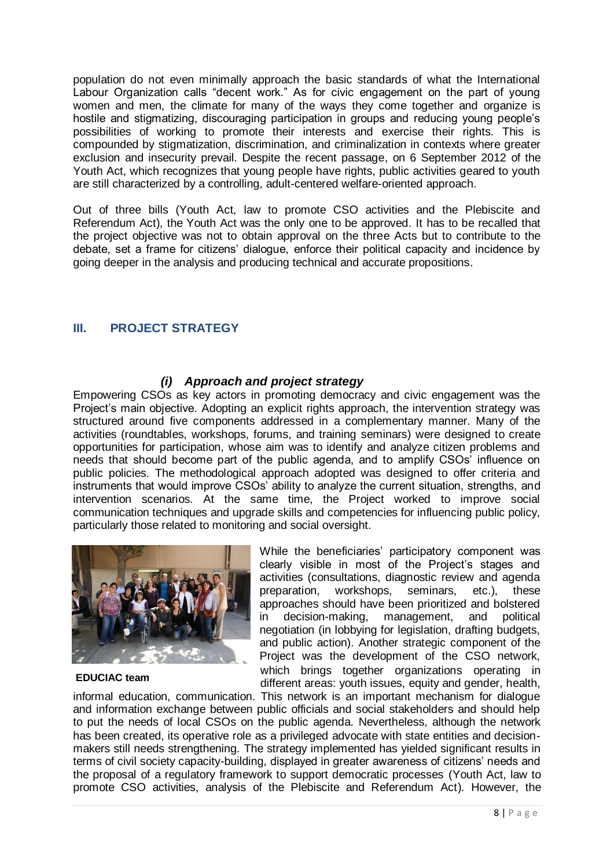population do not even minimally approach the basic standards of what the International Labour Organization calls "decent work." As for civic engagement on the part of young women and men, the climate for many of the ways they come together and organize is hostile and stigmatizing, discouraging participation in groups and reducing young people's possibilities of working to promote their interests and exercise their rights. This is compounded by stigmatization, discrimination, and criminalization in contexts where greater exclusion and insecurity prevail. Despite the recent passage, on 6 September 2012 of the Youth Act, which recognizes that young people have rights, public activities geared to youth are still characterized by a controlling, adult-centered welfare-oriented approach.

Out of three bills (Youth Act, law to promote CSO activities and the Plebiscite and Referendum Act), the Youth Act was the only one to be approved. It has to be recalled that the project objective was not to obtain approval on the three Acts but to contribute to the debate, set a frame for citizens' dialogue, enforce their political capacity and incidence by going deeper in the analysis and producing technical and accurate propositions.

### <span id="page-10-0"></span>**III. PROJECT STRATEGY**

### *(i) Approach and project strategy*

<span id="page-10-1"></span>Empowering CSOs as key actors in promoting democracy and civic engagement was the Project's main objective. Adopting an explicit rights approach, the intervention strategy was structured around five components addressed in a complementary manner. Many of the activities (roundtables, workshops, forums, and training seminars) were designed to create opportunities for participation, whose aim was to identify and analyze citizen problems and needs that should become part of the public agenda, and to amplify CSOs' influence on public policies. The methodological approach adopted was designed to offer criteria and instruments that would improve CSOs' ability to analyze the current situation, strengths, and intervention scenarios. At the same time, the Project worked to improve social communication techniques and upgrade skills and competencies for influencing public policy, particularly those related to monitoring and social oversight.



**EDUCIAC team**

While the beneficiaries' participatory component was clearly visible in most of the Project's stages and activities (consultations, diagnostic review and agenda preparation, workshops, seminars, etc.), these approaches should have been prioritized and bolstered in decision-making, management, and political negotiation (in lobbying for legislation, drafting budgets, and public action). Another strategic component of the Project was the development of the CSO network, which brings together organizations operating in different areas: youth issues, equity and gender, health,

informal education, communication. This network is an important mechanism for dialogue and information exchange between public officials and social stakeholders and should help to put the needs of local CSOs on the public agenda. Nevertheless, although the network has been created, its operative role as a privileged advocate with state entities and decisionmakers still needs strengthening. The strategy implemented has yielded significant results in terms of civil society capacity-building, displayed in greater awareness of citizens' needs and the proposal of a regulatory framework to support democratic processes (Youth Act, law to promote CSO activities, analysis of the Plebiscite and Referendum Act). However, the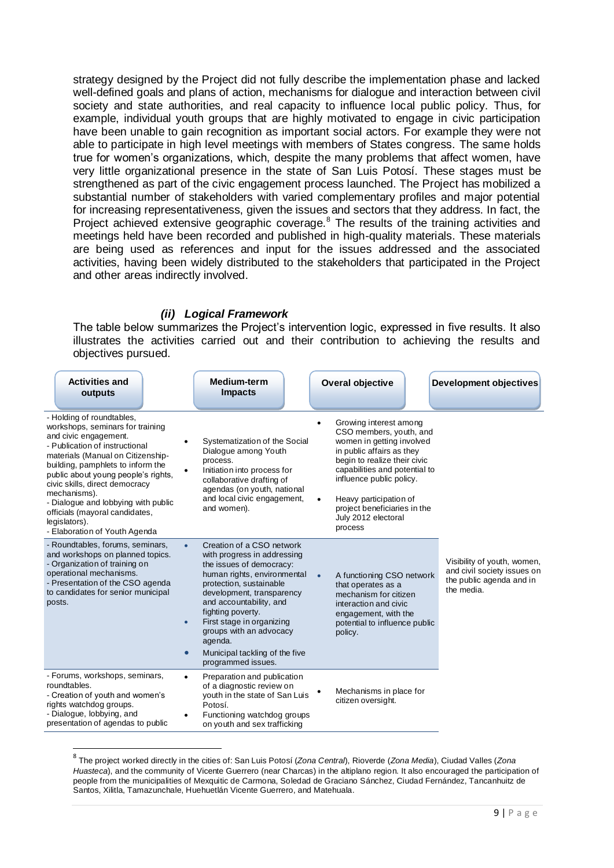strategy designed by the Project did not fully describe the implementation phase and lacked well-defined goals and plans of action, mechanisms for dialogue and interaction between civil society and state authorities, and real capacity to influence local public policy. Thus, for example, individual youth groups that are highly motivated to engage in civic participation have been unable to gain recognition as important social actors. For example they were not able to participate in high level meetings with members of States congress. The same holds true for women's organizations, which, despite the many problems that affect women, have very little organizational presence in the state of San Luis Potosí. These stages must be strengthened as part of the civic engagement process launched. The Project has mobilized a substantial number of stakeholders with varied complementary profiles and major potential for increasing representativeness, given the issues and sectors that they address. In fact, the Project achieved extensive geographic coverage.<sup>8</sup> The results of the training activities and meetings held have been recorded and published in high-quality materials. These materials are being used as references and input for the issues addressed and the associated activities, having been widely distributed to the stakeholders that participated in the Project and other areas indirectly involved.

#### *(ii) Logical Framework*

<span id="page-11-0"></span>The table below summarizes the Project's intervention logic, expressed in five results. It also illustrates the activities carried out and their contribution to achieving the results and objectives pursued.

| <b>Activities and</b><br>outputs                                                                                                                                                                                                                                                                                                                                                                                       |                                     | <b>Medium-term</b><br><b>Impacts</b>                                                                                                                                                                                                                                                                                                                   |                        | <b>Overal objective</b>                                                                                                                                                                                                                                                                              | <b>Development objectives</b>                                                                        |
|------------------------------------------------------------------------------------------------------------------------------------------------------------------------------------------------------------------------------------------------------------------------------------------------------------------------------------------------------------------------------------------------------------------------|-------------------------------------|--------------------------------------------------------------------------------------------------------------------------------------------------------------------------------------------------------------------------------------------------------------------------------------------------------------------------------------------------------|------------------------|------------------------------------------------------------------------------------------------------------------------------------------------------------------------------------------------------------------------------------------------------------------------------------------------------|------------------------------------------------------------------------------------------------------|
| - Holding of roundtables,<br>workshops, seminars for training<br>and civic engagement.<br>- Publication of instructional<br>materials (Manual on Citizenship-<br>building, pamphlets to inform the<br>public about young people's rights,<br>civic skills, direct democracy<br>mechanisms).<br>- Dialogue and lobbying with public<br>officials (mayoral candidates,<br>legislators).<br>- Elaboration of Youth Agenda | ٠                                   | Systematization of the Social<br>Dialogue among Youth<br>process.<br>Initiation into process for<br>collaborative drafting of<br>agendas (on youth, national<br>and local civic engagement,<br>and women).                                                                                                                                             | $\bullet$<br>$\bullet$ | Growing interest among<br>CSO members, youth, and<br>women in getting involved<br>in public affairs as they<br>begin to realize their civic<br>capabilities and potential to<br>influence public policy.<br>Heavy participation of<br>project beneficiaries in the<br>July 2012 electoral<br>process |                                                                                                      |
| - Roundtables, forums, seminars,<br>and workshops on planned topics.<br>- Organization of training on<br>operational mechanisms.<br>- Presentation of the CSO agenda<br>to candidates for senior municipal<br>posts.                                                                                                                                                                                                   | $\bullet$<br>$\bullet$<br>$\bullet$ | Creation of a CSO network<br>with progress in addressing<br>the issues of democracy:<br>human rights, environmental<br>protection, sustainable<br>development, transparency<br>and accountability, and<br>fighting poverty.<br>First stage in organizing<br>groups with an advocacy<br>agenda.<br>Municipal tackling of the five<br>programmed issues. | $\bullet$              | A functioning CSO network<br>that operates as a<br>mechanism for citizen<br>interaction and civic<br>engagement, with the<br>potential to influence public<br>policy.                                                                                                                                | Visibility of youth, women,<br>and civil society issues on<br>the public agenda and in<br>the media. |
| - Forums, workshops, seminars,<br>roundtables.<br>- Creation of youth and women's<br>rights watchdog groups.<br>- Dialogue, lobbying, and<br>presentation of agendas to public                                                                                                                                                                                                                                         | $\bullet$<br>٠                      | Preparation and publication<br>of a diagnostic review on<br>youth in the state of San Luis<br>Potosí.<br>Functioning watchdog groups<br>on youth and sex trafficking                                                                                                                                                                                   |                        | Mechanisms in place for<br>citizen oversight.                                                                                                                                                                                                                                                        |                                                                                                      |

 8 The project worked directly in the cities of: San Luis Potosí (*Zona Central*), Rioverde (*Zona Media*), Ciudad Valles (*Zona Huasteca*), and the community of Vicente Guerrero (near Charcas) in the altiplano region. It also encouraged the participation of people from the municipalities of Mexquitic de Carmona, Soledad de Graciano Sánchez, Ciudad Fernández, Tancanhuitz de Santos, Xilitla, Tamazunchale, Huehuetlán Vicente Guerrero, and Matehuala.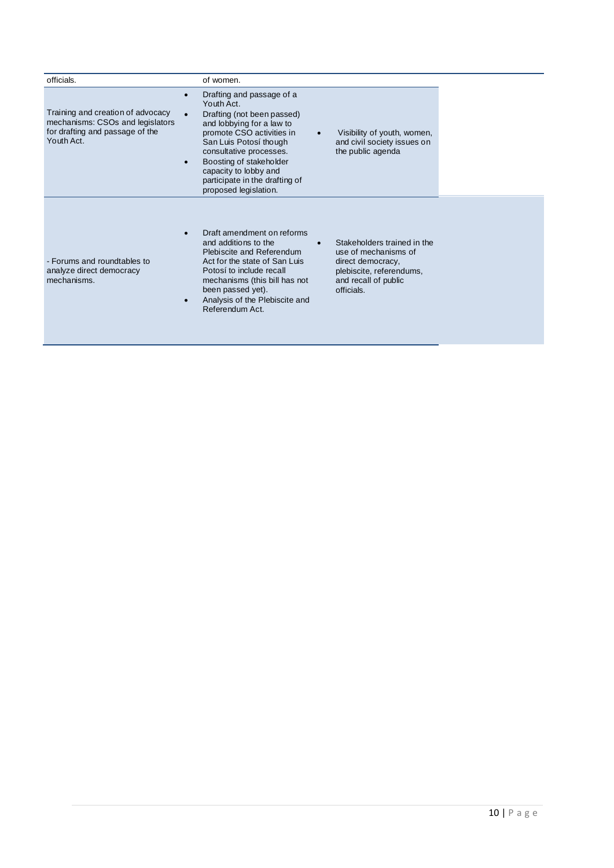| officials.                                                                                                             | of women.                                                                                                                                                                                                                                                                                                        |                                                                                                                                            |
|------------------------------------------------------------------------------------------------------------------------|------------------------------------------------------------------------------------------------------------------------------------------------------------------------------------------------------------------------------------------------------------------------------------------------------------------|--------------------------------------------------------------------------------------------------------------------------------------------|
| Training and creation of advocacy<br>mechanisms: CSOs and legislators<br>for drafting and passage of the<br>Youth Act. | Drafting and passage of a<br>Youth Act.<br>Drafting (not been passed)<br>and lobbying for a law to<br>promote CSO activities in<br>$\bullet$<br>San Luis Potosí though<br>consultative processes.<br>Boosting of stakeholder<br>capacity to lobby and<br>participate in the drafting of<br>proposed legislation. | Visibility of youth, women,<br>and civil society issues on<br>the public agenda                                                            |
| - Forums and roundtables to<br>analyze direct democracy<br>mechanisms.                                                 | Draft amendment on reforms<br>and additions to the<br>Plebiscite and Referendum<br>Act for the state of San Luis<br>Potosí to include recall<br>mechanisms (this bill has not<br>been passed yet).<br>Analysis of the Plebiscite and<br>Referendum Act.                                                          | Stakeholders trained in the<br>use of mechanisms of<br>direct democracy,<br>plebiscite, referendums,<br>and recall of public<br>officials. |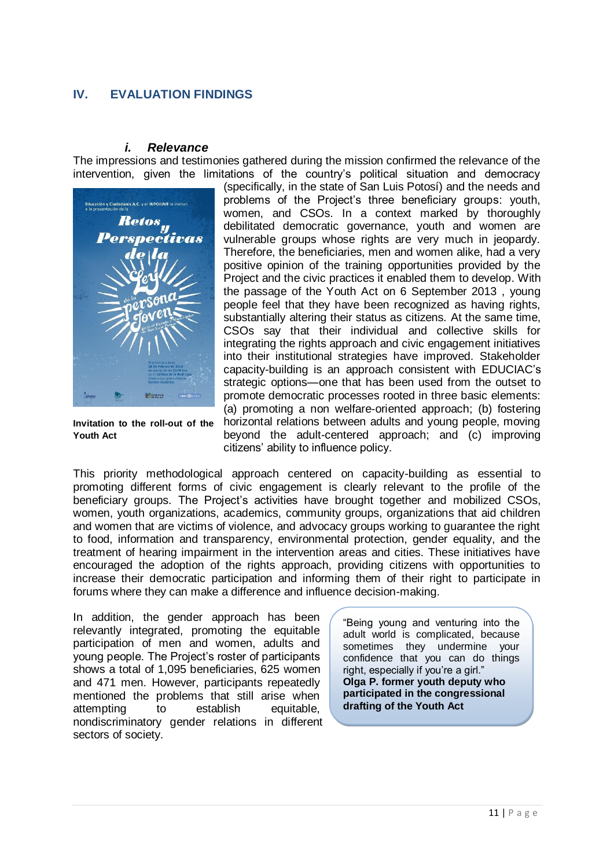### <span id="page-13-0"></span>**IV. EVALUATION FINDINGS**

#### *i. Relevance*

<span id="page-13-1"></span>The impressions and testimonies gathered during the mission confirmed the relevance of the intervention, given the limitations of the country's political situation and democracy



**Invitation to the roll-out of the Youth Act**

(specifically, in the state of San Luis Potosí) and the needs and problems of the Project's three beneficiary groups: youth, women, and CSOs. In a context marked by thoroughly debilitated democratic governance, youth and women are vulnerable groups whose rights are very much in jeopardy. Therefore, the beneficiaries, men and women alike, had a very positive opinion of the training opportunities provided by the Project and the civic practices it enabled them to develop. With the passage of the Youth Act on 6 September 2013 , young people feel that they have been recognized as having rights, substantially altering their status as citizens. At the same time, CSOs say that their individual and collective skills for integrating the rights approach and civic engagement initiatives into their institutional strategies have improved. Stakeholder capacity-building is an approach consistent with EDUCIAC's strategic options—one that has been used from the outset to promote democratic processes rooted in three basic elements: (a) promoting a non welfare-oriented approach; (b) fostering horizontal relations between adults and young people, moving beyond the adult-centered approach; and (c) improving citizens' ability to influence policy.

This priority methodological approach centered on capacity-building as essential to promoting different forms of civic engagement is clearly relevant to the profile of the beneficiary groups. The Project's activities have brought together and mobilized CSOs, women, youth organizations, academics, community groups, organizations that aid children and women that are victims of violence, and advocacy groups working to guarantee the right to food, information and transparency, environmental protection, gender equality, and the treatment of hearing impairment in the intervention areas and cities. These initiatives have encouraged the adoption of the rights approach, providing citizens with opportunities to increase their democratic participation and informing them of their right to participate in forums where they can make a difference and influence decision-making.

In addition, the gender approach has been relevantly integrated, promoting the equitable participation of men and women, adults and young people. The Project's roster of participants shows a total of 1,095 beneficiaries, 625 women and 471 men. However, participants repeatedly mentioned the problems that still arise when attempting to establish equitable, nondiscriminatory gender relations in different sectors of society.

"Being young and venturing into the adult world is complicated, because sometimes they undermine your confidence that you can do things right, especially if you're a girl." **Olga P. former youth deputy who participated in the congressional drafting of the Youth Act**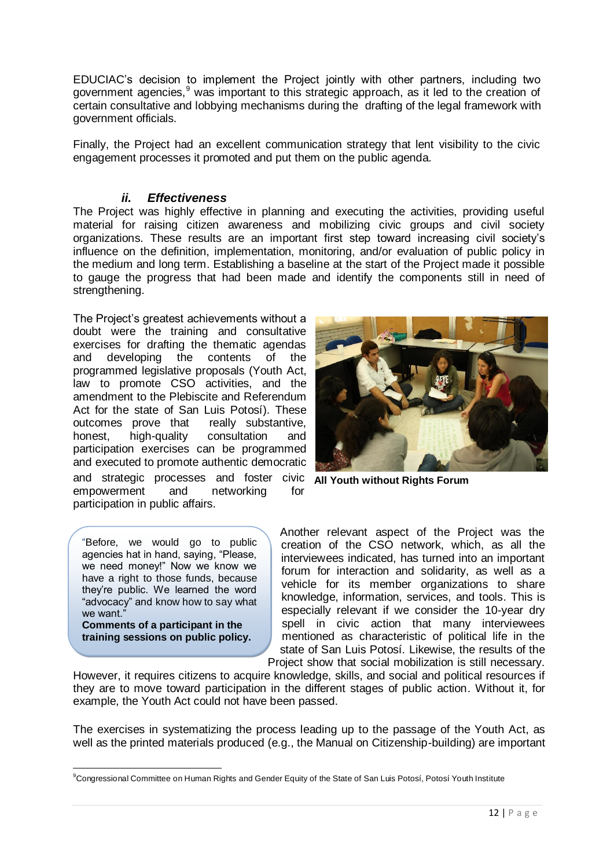EDUCIAC's decision to implement the Project jointly with other partners, including two government agencies,<sup>9</sup> was important to this strategic approach, as it led to the creation of certain consultative and lobbying mechanisms during the drafting of the legal framework with government officials.

Finally, the Project had an excellent communication strategy that lent visibility to the civic engagement processes it promoted and put them on the public agenda.

### *ii. Effectiveness*

<span id="page-14-0"></span>The Project was highly effective in planning and executing the activities, providing useful material for raising citizen awareness and mobilizing civic groups and civil society organizations. These results are an important first step toward increasing civil society's influence on the definition, implementation, monitoring, and/or evaluation of public policy in the medium and long term. Establishing a baseline at the start of the Project made it possible to gauge the progress that had been made and identify the components still in need of strengthening.

The Project's greatest achievements without a doubt were the training and consultative exercises for drafting the thematic agendas and developing the contents of the programmed legislative proposals (Youth Act, law to promote CSO activities, and the amendment to the Plebiscite and Referendum Act for the state of San Luis Potosí). These<br>outcomes prove that really substantive, outcomes prove that honest, high-quality consultation and participation exercises can be programmed and executed to promote authentic democratic and strategic processes and foster civic **All Youth without Rights Forum**empowerment and networking for participation in public affairs.

"Before, we would go to public agencies hat in hand, saying, "Please, we need money!" Now we know we have a right to those funds, because they're public. We learned the word "advocacy" and know how to say what we want.

**Comments of a participant in the training sessions on public policy.** 

Another relevant aspect of the Project was the creation of the CSO network, which, as all the interviewees indicated, has turned into an important forum for interaction and solidarity, as well as a vehicle for its member organizations to share knowledge, information, services, and tools. This is especially relevant if we consider the 10-year dry spell in civic action that many interviewees mentioned as characteristic of political life in the state of San Luis Potosí. Likewise, the results of the Project show that social mobilization is still necessary.

However, it requires citizens to acquire knowledge, skills, and social and political resources if they are to move toward participation in the different stages of public action. Without it, for example, the Youth Act could not have been passed.

The exercises in systematizing the process leading up to the passage of the Youth Act, as well as the printed materials produced (e.g., the Manual on Citizenship-building) are important

 $\overline{a}$ <sup>9</sup>Congressional Committee on Human Rights and Gender Equity of the State of San Luis Potosí, Potosí Youth Institute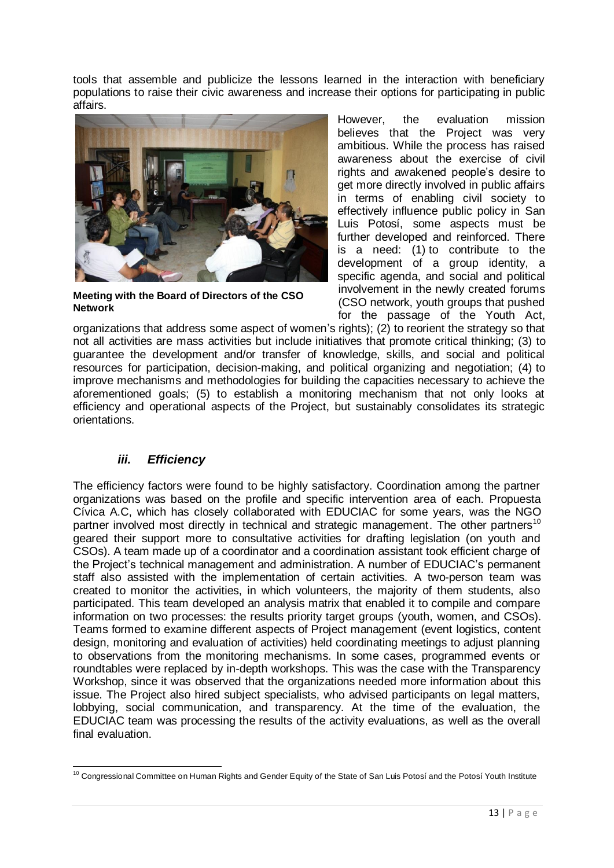tools that assemble and publicize the lessons learned in the interaction with beneficiary populations to raise their civic awareness and increase their options for participating in public affairs.



**Meeting with the Board of Directors of the CSO Network**

However, the evaluation mission believes that the Project was very ambitious. While the process has raised awareness about the exercise of civil rights and awakened people's desire to get more directly involved in public affairs in terms of enabling civil society to effectively influence public policy in San Luis Potosí, some aspects must be further developed and reinforced. There is a need: (1) to contribute to the development of a group identity, a specific agenda, and social and political involvement in the newly created forums (CSO network, youth groups that pushed for the passage of the Youth Act,

organizations that address some aspect of women's rights); (2) to reorient the strategy so that not all activities are mass activities but include initiatives that promote critical thinking; (3) to guarantee the development and/or transfer of knowledge, skills, and social and political resources for participation, decision-making, and political organizing and negotiation; (4) to improve mechanisms and methodologies for building the capacities necessary to achieve the aforementioned goals; (5) to establish a monitoring mechanism that not only looks at efficiency and operational aspects of the Project, but sustainably consolidates its strategic orientations.

### *iii. Efficiency*

<span id="page-15-0"></span>The efficiency factors were found to be highly satisfactory. Coordination among the partner organizations was based on the profile and specific intervention area of each. Propuesta Cívica A.C, which has closely collaborated with EDUCIAC for some years, was the NGO partner involved most directly in technical and strategic management. The other partners<sup>10</sup> geared their support more to consultative activities for drafting legislation (on youth and CSOs). A team made up of a coordinator and a coordination assistant took efficient charge of the Project's technical management and administration. A number of EDUCIAC's permanent staff also assisted with the implementation of certain activities. A two-person team was created to monitor the activities, in which volunteers, the majority of them students, also participated. This team developed an analysis matrix that enabled it to compile and compare information on two processes: the results priority target groups (youth, women, and CSOs). Teams formed to examine different aspects of Project management (event logistics, content design, monitoring and evaluation of activities) held coordinating meetings to adjust planning to observations from the monitoring mechanisms. In some cases, programmed events or roundtables were replaced by in-depth workshops. This was the case with the Transparency Workshop, since it was observed that the organizations needed more information about this issue. The Project also hired subject specialists, who advised participants on legal matters, lobbying, social communication, and transparency. At the time of the evaluation, the EDUCIAC team was processing the results of the activity evaluations, as well as the overall final evaluation.

 $\overline{a}$  $10$  Congressional Committee on Human Rights and Gender Equity of the State of San Luis Potosí and the Potosí Youth Institute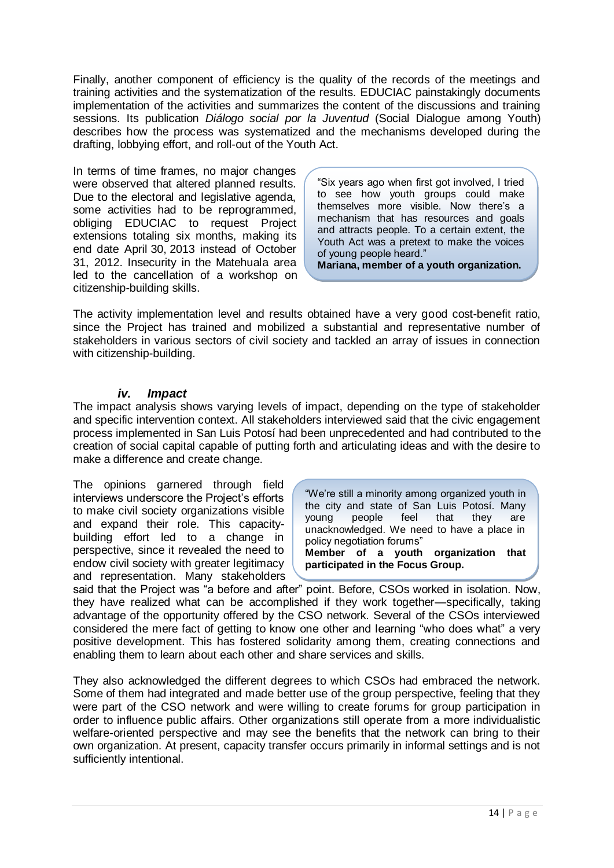Finally, another component of efficiency is the quality of the records of the meetings and training activities and the systematization of the results. EDUCIAC painstakingly documents implementation of the activities and summarizes the content of the discussions and training sessions. Its publication *Diálogo social por la Juventud* (Social Dialogue among Youth) describes how the process was systematized and the mechanisms developed during the drafting, lobbying effort, and roll-out of the Youth Act.

In terms of time frames, no major changes were observed that altered planned results. Due to the electoral and legislative agenda, some activities had to be reprogrammed, obliging EDUCIAC to request Project extensions totaling six months, making its end date April 30, 2013 instead of October 31, 2012. Insecurity in the Matehuala area led to the cancellation of a workshop on citizenship-building skills.

"Six years ago when first got involved, I tried to see how youth groups could make themselves more visible. Now there's a mechanism that has resources and goals and attracts people. To a certain extent, the Youth Act was a pretext to make the voices of young people heard."

**Mariana, member of a youth organization.**

The activity implementation level and results obtained have a very good cost-benefit ratio, since the Project has trained and mobilized a substantial and representative number of stakeholders in various sectors of civil society and tackled an array of issues in connection with citizenship-building.

### *iv. Impact*

<span id="page-16-0"></span>The impact analysis shows varying levels of impact, depending on the type of stakeholder and specific intervention context. All stakeholders interviewed said that the civic engagement process implemented in San Luis Potosí had been unprecedented and had contributed to the creation of social capital capable of putting forth and articulating ideas and with the desire to make a difference and create change.

The opinions garnered through field interviews underscore the Project's efforts to make civil society organizations visible and expand their role. This capacitybuilding effort led to a change in perspective, since it revealed the need to endow civil society with greater legitimacy and representation. Many stakeholders

"We're still a minority among organized youth in the city and state of San Luis Potosí. Many young people feel that they are unacknowledged. We need to have a place in policy negotiation forums" **Member of a youth organization that** 

**participated in the Focus Group.**

said that the Project was "a before and after" point. Before, CSOs worked in isolation. Now, they have realized what can be accomplished if they work together—specifically, taking advantage of the opportunity offered by the CSO network. Several of the CSOs interviewed considered the mere fact of getting to know one other and learning "who does what" a very positive development. This has fostered solidarity among them, creating connections and enabling them to learn about each other and share services and skills.

They also acknowledged the different degrees to which CSOs had embraced the network. Some of them had integrated and made better use of the group perspective, feeling that they were part of the CSO network and were willing to create forums for group participation in order to influence public affairs. Other organizations still operate from a more individualistic welfare-oriented perspective and may see the benefits that the network can bring to their own organization. At present, capacity transfer occurs primarily in informal settings and is not sufficiently intentional.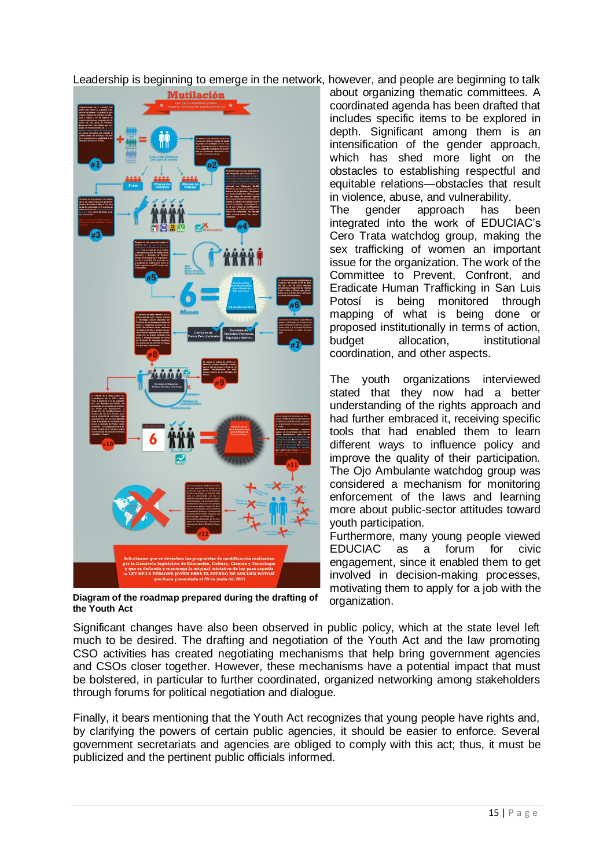Leadership is beginning to emerge in the network, however, and people are beginning to talk



**Diagram of the roadmap prepared during the drafting of the Youth Act**

about organizing thematic committees. A coordinated agenda has been drafted that includes specific items to be explored in depth. Significant among them is an intensification of the gender approach, which has shed more light on the obstacles to establishing respectful and equitable relations—obstacles that result in violence, abuse, and vulnerability.<br>The gender approach has

The gender approach has been integrated into the work of EDUCIAC's Cero Trata watchdog group, making the sex trafficking of women an important issue for the organization. The work of the Committee to Prevent, Confront, and Eradicate Human Trafficking in San Luis Potosí is being monitored through mapping of what is being done or proposed institutionally in terms of action, budget allocation, institutional coordination, and other aspects.

The youth organizations interviewed stated that they now had a better understanding of the rights approach and had further embraced it, receiving specific tools that had enabled them to learn different ways to influence policy and improve the quality of their participation. The Ojo Ambulante watchdog group was considered a mechanism for monitoring enforcement of the laws and learning more about public-sector attitudes toward youth participation.

Furthermore, many young people viewed EDUCIAC as a forum for civic engagement, since it enabled them to get involved in decision-making processes, motivating them to apply for a job with the organization.

Significant changes have also been observed in public policy, which at the state level left much to be desired. The drafting and negotiation of the Youth Act and the law promoting CSO activities has created negotiating mechanisms that help bring government agencies and CSOs closer together. However, these mechanisms have a potential impact that must be bolstered, in particular to further coordinated, organized networking among stakeholders through forums for political negotiation and dialogue.

Finally, it bears mentioning that the Youth Act recognizes that young people have rights and, by clarifying the powers of certain public agencies, it should be easier to enforce. Several government secretariats and agencies are obliged to comply with this act; thus, it must be publicized and the pertinent public officials informed.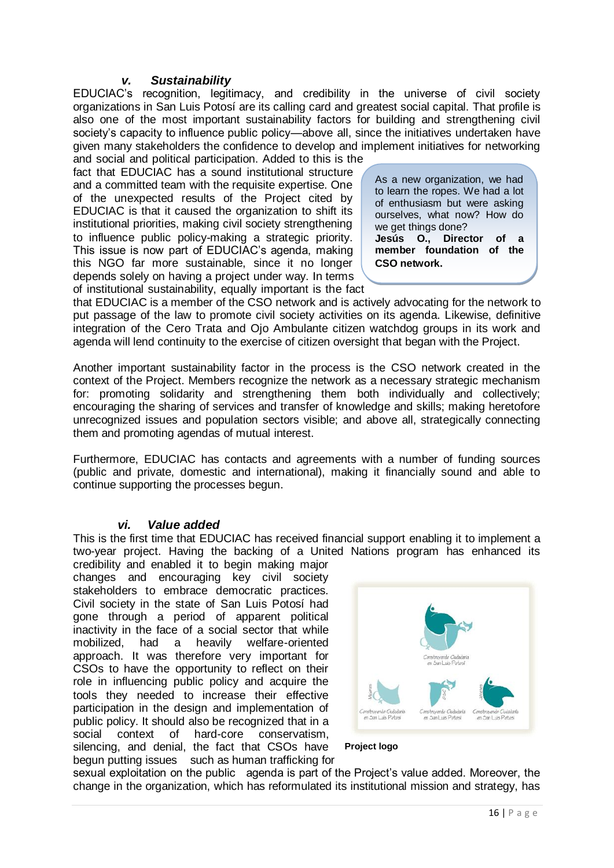#### <span id="page-18-0"></span>*v. Sustainability*

EDUCIAC's recognition, legitimacy, and credibility in the universe of civil society organizations in San Luis Potosí are its calling card and greatest social capital. That profile is also one of the most important sustainability factors for building and strengthening civil society's capacity to influence public policy—above all, since the initiatives undertaken have given many stakeholders the confidence to develop and implement initiatives for networking

and social and political participation. Added to this is the fact that EDUCIAC has a sound institutional structure and a committed team with the requisite expertise. One of the unexpected results of the Project cited by EDUCIAC is that it caused the organization to shift its institutional priorities, making civil society strengthening to influence public policy-making a strategic priority. This issue is now part of EDUCIAC's agenda, making this NGO far more sustainable, since it no longer depends solely on having a project under way. In terms of institutional sustainability, equally important is the fact

As a new organization, we had to learn the ropes. We had a lot of enthusiasm but were asking ourselves, what now? How do we get things done?<br>**Jesús O., Direc O., Director of a member foundation of the CSO network.**

that EDUCIAC is a member of the CSO network and is actively advocating for the network to put passage of the law to promote civil society activities on its agenda. Likewise, definitive integration of the Cero Trata and Ojo Ambulante citizen watchdog groups in its work and agenda will lend continuity to the exercise of citizen oversight that began with the Project.

Another important sustainability factor in the process is the CSO network created in the context of the Project. Members recognize the network as a necessary strategic mechanism for: promoting solidarity and strengthening them both individually and collectively; encouraging the sharing of services and transfer of knowledge and skills; making heretofore unrecognized issues and population sectors visible; and above all, strategically connecting them and promoting agendas of mutual interest.

Furthermore, EDUCIAC has contacts and agreements with a number of funding sources (public and private, domestic and international), making it financially sound and able to continue supporting the processes begun.

#### *vi. Value added*

<span id="page-18-1"></span>This is the first time that EDUCIAC has received financial support enabling it to implement a two-year project. Having the backing of a United Nations program has enhanced its

credibility and enabled it to begin making major changes and encouraging key civil society stakeholders to embrace democratic practices. Civil society in the state of San Luis Potosí had gone through a period of apparent political inactivity in the face of a social sector that while mobilized, had a heavily welfare-oriented approach. It was therefore very important for CSOs to have the opportunity to reflect on their role in influencing public policy and acquire the tools they needed to increase their effective participation in the design and implementation of public policy. It should also be recognized that in a social context of hard-core conservatism, silencing, and denial, the fact that CSOs have begun putting issues such as human trafficking for



#### **Project logo**

sexual exploitation on the public agenda is part of the Project's value added. Moreover, the change in the organization, which has reformulated its institutional mission and strategy, has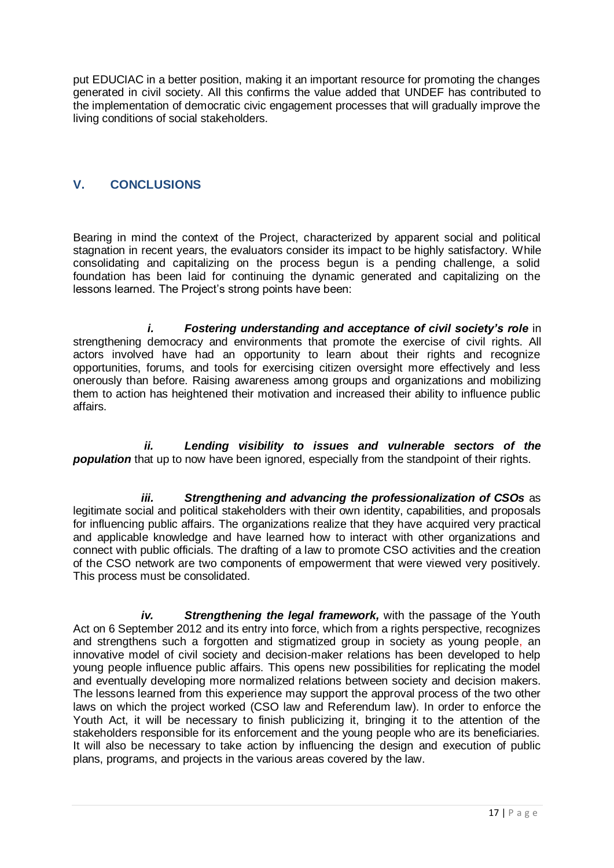put EDUCIAC in a better position, making it an important resource for promoting the changes generated in civil society. All this confirms the value added that UNDEF has contributed to the implementation of democratic civic engagement processes that will gradually improve the living conditions of social stakeholders.

### <span id="page-19-0"></span>**V. CONCLUSIONS**

Bearing in mind the context of the Project, characterized by apparent social and political stagnation in recent years, the evaluators consider its impact to be highly satisfactory. While consolidating and capitalizing on the process begun is a pending challenge, a solid foundation has been laid for continuing the dynamic generated and capitalizing on the lessons learned. The Project's strong points have been:

*i. Fostering understanding and acceptance of civil society's role* in strengthening democracy and environments that promote the exercise of civil rights. All actors involved have had an opportunity to learn about their rights and recognize opportunities, forums, and tools for exercising citizen oversight more effectively and less onerously than before. Raising awareness among groups and organizations and mobilizing them to action has heightened their motivation and increased their ability to influence public affairs.

*ii. Lending visibility to issues and vulnerable sectors of the*  **population** that up to now have been ignored, especially from the standpoint of their rights.

*iii. Strengthening and advancing the professionalization of CSOs* as legitimate social and political stakeholders with their own identity, capabilities, and proposals for influencing public affairs. The organizations realize that they have acquired very practical and applicable knowledge and have learned how to interact with other organizations and connect with public officials. The drafting of a law to promote CSO activities and the creation of the CSO network are two components of empowerment that were viewed very positively. This process must be consolidated.

*iv. Strengthening the legal framework,* with the passage of the Youth Act on 6 September 2012 and its entry into force, which from a rights perspective, recognizes and strengthens such a forgotten and stigmatized group in society as young people, an innovative model of civil society and decision-maker relations has been developed to help young people influence public affairs. This opens new possibilities for replicating the model and eventually developing more normalized relations between society and decision makers. The lessons learned from this experience may support the approval process of the two other laws on which the project worked (CSO law and Referendum law). In order to enforce the Youth Act, it will be necessary to finish publicizing it, bringing it to the attention of the stakeholders responsible for its enforcement and the young people who are its beneficiaries. It will also be necessary to take action by influencing the design and execution of public plans, programs, and projects in the various areas covered by the law.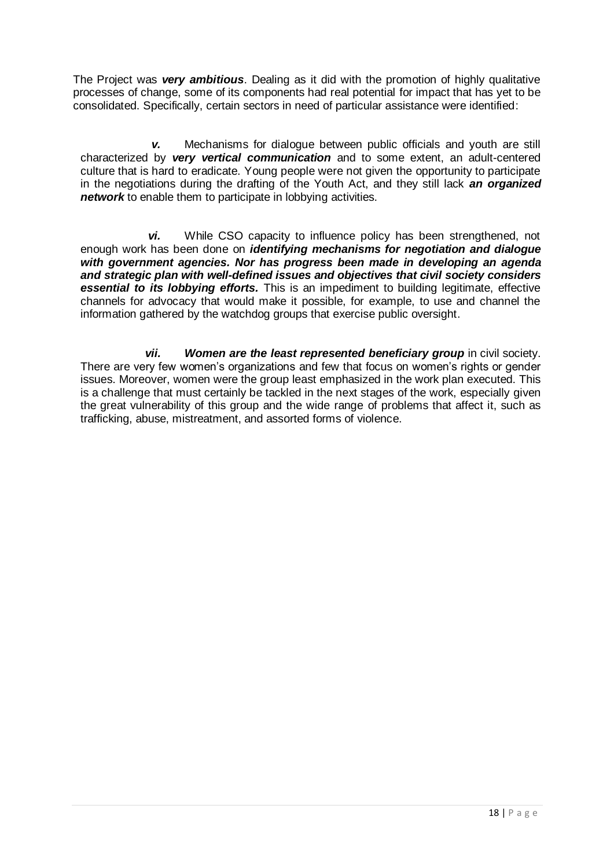The Project was *very ambitious*. Dealing as it did with the promotion of highly qualitative processes of change, some of its components had real potential for impact that has yet to be consolidated. Specifically, certain sectors in need of particular assistance were identified:

*v.* Mechanisms for dialogue between public officials and youth are still characterized by *very vertical communication* and to some extent, an adult-centered culture that is hard to eradicate. Young people were not given the opportunity to participate in the negotiations during the drafting of the Youth Act, and they still lack *an organized network* to enable them to participate in lobbying activities.

*vi.* While CSO capacity to influence policy has been strengthened, not enough work has been done on *identifying mechanisms for negotiation and dialogue with government agencies. Nor has progress been made in developing an agenda and strategic plan with well-defined issues and objectives that civil society considers essential to its lobbying efforts.* This is an impediment to building legitimate, effective channels for advocacy that would make it possible, for example, to use and channel the information gathered by the watchdog groups that exercise public oversight.

<span id="page-20-0"></span>*vii.* Women are the least represented beneficiary group in civil society. There are very few women's organizations and few that focus on women's rights or gender issues. Moreover, women were the group least emphasized in the work plan executed. This is a challenge that must certainly be tackled in the next stages of the work, especially given the great vulnerability of this group and the wide range of problems that affect it, such as trafficking, abuse, mistreatment, and assorted forms of violence.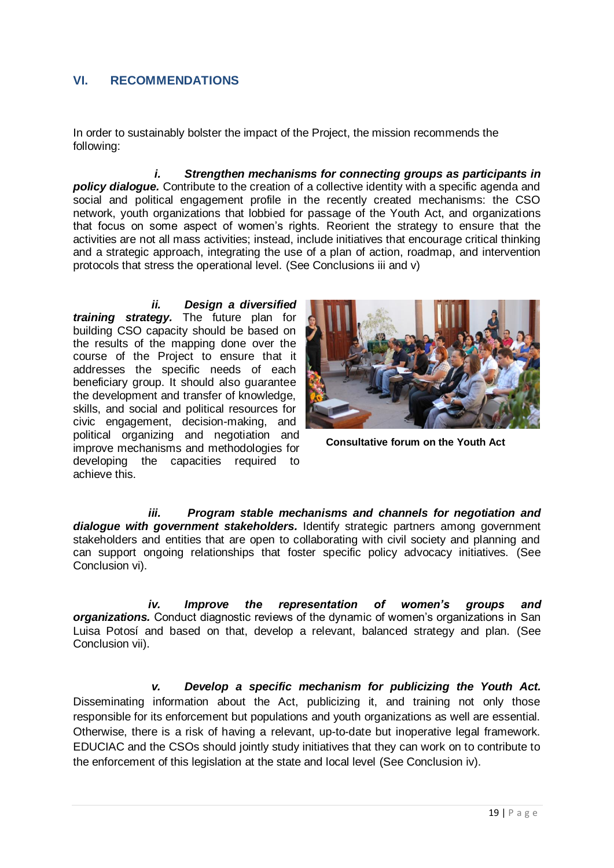### **VI. RECOMMENDATIONS**

In order to sustainably bolster the impact of the Project, the mission recommends the following:

*i. Strengthen mechanisms for connecting groups as participants in policy dialogue.* Contribute to the creation of a collective identity with a specific agenda and social and political engagement profile in the recently created mechanisms: the CSO network, youth organizations that lobbied for passage of the Youth Act, and organizations that focus on some aspect of women's rights. Reorient the strategy to ensure that the activities are not all mass activities; instead, include initiatives that encourage critical thinking and a strategic approach, integrating the use of a plan of action, roadmap, and intervention protocols that stress the operational level. (See Conclusions iii and v)

#### *ii. Design a diversified*

*training strategy.* The future plan for building CSO capacity should be based on the results of the mapping done over the course of the Project to ensure that it addresses the specific needs of each beneficiary group. It should also guarantee the development and transfer of knowledge, skills, and social and political resources for civic engagement, decision-making, and political organizing and negotiation and improve mechanisms and methodologies for developing the capacities required to achieve this.



**Consultative forum on the Youth Act**

*iii. Program stable mechanisms and channels for negotiation and dialogue with government stakeholders.* Identify strategic partners among government stakeholders and entities that are open to collaborating with civil society and planning and can support ongoing relationships that foster specific policy advocacy initiatives. (See Conclusion vi).

*iv. Improve the representation of women's groups and organizations.* Conduct diagnostic reviews of the dynamic of women's organizations in San Luisa Potosí and based on that, develop a relevant, balanced strategy and plan. (See Conclusion vii).

*v. Develop a specific mechanism for publicizing the Youth Act.* Disseminating information about the Act, publicizing it, and training not only those responsible for its enforcement but populations and youth organizations as well are essential. Otherwise, there is a risk of having a relevant, up-to-date but inoperative legal framework. EDUCIAC and the CSOs should jointly study initiatives that they can work on to contribute to the enforcement of this legislation at the state and local level (See Conclusion iv).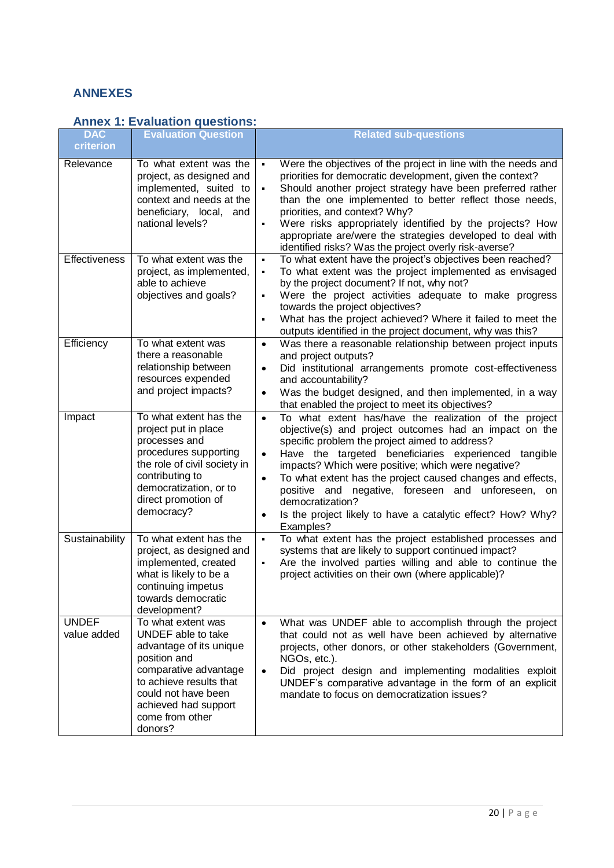## <span id="page-22-0"></span>**ANNEXES**

# <span id="page-22-1"></span>**Annex 1: Evaluation questions:**

| <b>DAC</b>                  | <b>Evaluation Question</b>                                                                                                                                                                                           | <b>Related sub-questions</b>                                                                                                                                                                                                                                                                                                                                                                                                                                                                                                                             |
|-----------------------------|----------------------------------------------------------------------------------------------------------------------------------------------------------------------------------------------------------------------|----------------------------------------------------------------------------------------------------------------------------------------------------------------------------------------------------------------------------------------------------------------------------------------------------------------------------------------------------------------------------------------------------------------------------------------------------------------------------------------------------------------------------------------------------------|
| criterion                   |                                                                                                                                                                                                                      |                                                                                                                                                                                                                                                                                                                                                                                                                                                                                                                                                          |
| Relevance                   | To what extent was the<br>project, as designed and<br>implemented, suited to<br>context and needs at the<br>beneficiary, local, and<br>national levels?                                                              | Were the objectives of the project in line with the needs and<br>$\blacksquare$<br>priorities for democratic development, given the context?<br>Should another project strategy have been preferred rather<br>than the one implemented to better reflect those needs,<br>priorities, and context? Why?<br>Were risks appropriately identified by the projects? How<br>$\blacksquare$<br>appropriate are/were the strategies developed to deal with<br>identified risks? Was the project overly risk-averse?                                              |
| <b>Effectiveness</b>        | To what extent was the<br>project, as implemented,<br>able to achieve<br>objectives and goals?                                                                                                                       | To what extent have the project's objectives been reached?<br>٠<br>To what extent was the project implemented as envisaged<br>٠<br>by the project document? If not, why not?<br>Were the project activities adequate to make progress<br>٠<br>towards the project objectives?<br>What has the project achieved? Where it failed to meet the<br>$\blacksquare$<br>outputs identified in the project document, why was this?                                                                                                                               |
| Efficiency                  | To what extent was<br>there a reasonable<br>relationship between<br>resources expended<br>and project impacts?                                                                                                       | Was there a reasonable relationship between project inputs<br>$\bullet$<br>and project outputs?<br>Did institutional arrangements promote cost-effectiveness<br>$\bullet$<br>and accountability?<br>Was the budget designed, and then implemented, in a way<br>$\bullet$<br>that enabled the project to meet its objectives?                                                                                                                                                                                                                             |
| Impact                      | To what extent has the<br>project put in place<br>processes and<br>procedures supporting<br>the role of civil society in<br>contributing to<br>democratization, or to<br>direct promotion of<br>democracy?           | To what extent has/have the realization of the project<br>$\bullet$<br>objective(s) and project outcomes had an impact on the<br>specific problem the project aimed to address?<br>Have the targeted beneficiaries experienced tangible<br>$\bullet$<br>impacts? Which were positive; which were negative?<br>To what extent has the project caused changes and effects,<br>$\bullet$<br>positive and negative, foreseen and unforeseen, on<br>democratization?<br>Is the project likely to have a catalytic effect? How? Why?<br>$\bullet$<br>Examples? |
| Sustainability              | To what extent has the<br>project, as designed and<br>implemented, created<br>what is likely to be a<br>continuing impetus<br>towards democratic<br>development?                                                     | To what extent has the project established processes and<br>$\blacksquare$<br>systems that are likely to support continued impact?<br>Are the involved parties willing and able to continue the<br>$\blacksquare$<br>project activities on their own (where applicable)?                                                                                                                                                                                                                                                                                 |
| <b>UNDEF</b><br>value added | To what extent was<br>UNDEF able to take<br>advantage of its unique<br>position and<br>comparative advantage<br>to achieve results that<br>could not have been<br>achieved had support<br>come from other<br>donors? | What was UNDEF able to accomplish through the project<br>$\bullet$<br>that could not as well have been achieved by alternative<br>projects, other donors, or other stakeholders (Government,<br>NGOs, etc.).<br>Did project design and implementing modalities exploit<br>$\bullet$<br>UNDEF's comparative advantage in the form of an explicit<br>mandate to focus on democratization issues?                                                                                                                                                           |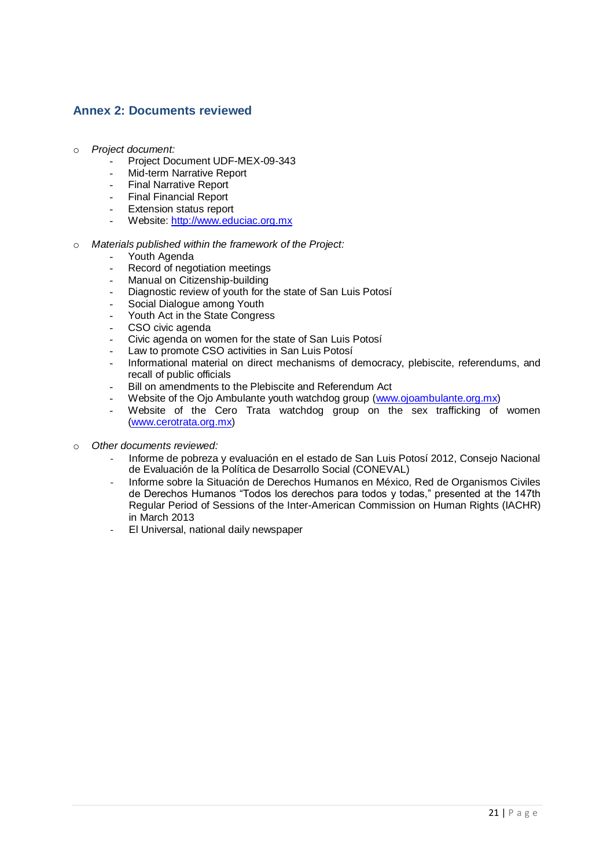### <span id="page-23-0"></span>**Annex 2: Documents reviewed**

- o *Project document:*
	- Project Document UDF-MEX-09-343
	- Mid-term Narrative Report
	- Final Narrative Report
	- Final Financial Report
	- Extension status report
	- Website: [http://www.educiac.org.mx](http://www.educiac.org.mx/)
- o *Materials published within the framework of the Project:*
	- Youth Agenda
	- Record of negotiation meetings
	- Manual on Citizenship-building
	- Diagnostic review of youth for the state of San Luis Potosi
	- Social Dialogue among Youth
	- Youth Act in the State Congress
	- CSO civic agenda
	- Civic agenda on women for the state of San Luis Potosí
	- Law to promote CSO activities in San Luis Potosí
	- Informational material on direct mechanisms of democracy, plebiscite, referendums, and recall of public officials
	- Bill on amendments to the Plebiscite and Referendum Act
	- Website of the Ojo Ambulante youth watchdog group [\(www.ojoambulante.org.mx\)](http://www.ojoambulante.org.mx/)
	- Website of the Cero Trata watchdog group on the sex trafficking of women [\(www.cerotrata.org.mx\)](http://www.cerotrata.org.mx/)
- o *Other documents reviewed:* 
	- Informe de pobreza y evaluación en el estado de San Luis Potosí 2012, Consejo Nacional de Evaluación de la Política de Desarrollo Social (CONEVAL)
	- Informe sobre la Situación de Derechos Humanos en México, Red de Organismos Civiles de Derechos Humanos "Todos los derechos para todos y todas," presented at the 147th Regular Period of Sessions of the Inter-American Commission on Human Rights (IACHR) in March 2013
	- El Universal, national daily newspaper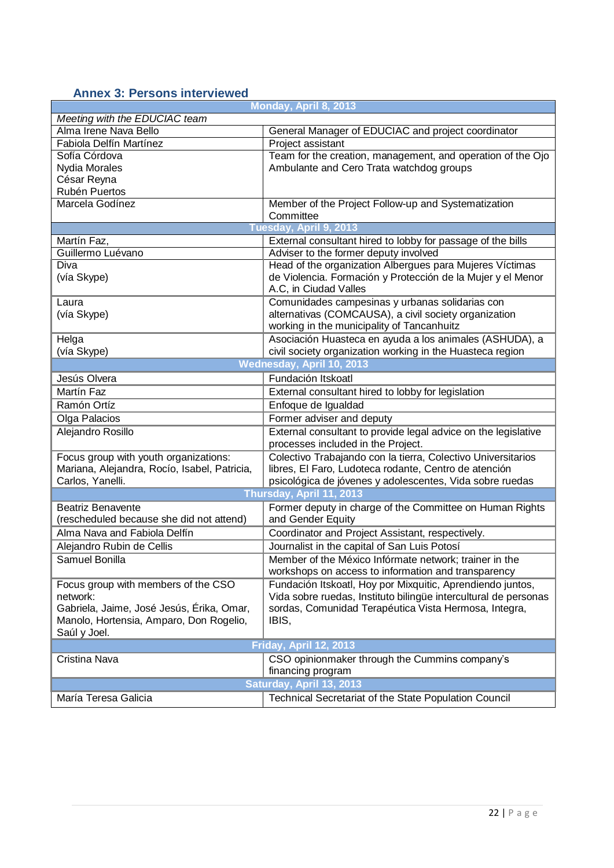# <span id="page-24-0"></span>**Annex 3: Persons interviewed**

| Monday, April 8, 2013                        |                                                                 |  |  |  |  |  |
|----------------------------------------------|-----------------------------------------------------------------|--|--|--|--|--|
| Meeting with the EDUCIAC team                |                                                                 |  |  |  |  |  |
| Alma Irene Nava Bello                        | General Manager of EDUCIAC and project coordinator              |  |  |  |  |  |
| Fabiola Delfín Martínez                      | Project assistant                                               |  |  |  |  |  |
| Sofía Córdova                                | Team for the creation, management, and operation of the Ojo     |  |  |  |  |  |
| Nydia Morales                                | Ambulante and Cero Trata watchdog groups                        |  |  |  |  |  |
| César Reyna                                  |                                                                 |  |  |  |  |  |
| Rubén Puertos                                |                                                                 |  |  |  |  |  |
| Marcela Godínez                              | Member of the Project Follow-up and Systematization             |  |  |  |  |  |
|                                              | Committee                                                       |  |  |  |  |  |
| Tuesday, April 9, 2013                       |                                                                 |  |  |  |  |  |
| Martín Faz,                                  | External consultant hired to lobby for passage of the bills     |  |  |  |  |  |
| Guillermo Luévano                            | Adviser to the former deputy involved                           |  |  |  |  |  |
| Diva                                         | Head of the organization Albergues para Mujeres Víctimas        |  |  |  |  |  |
| (vía Skype)                                  | de Violencia. Formación y Protección de la Mujer y el Menor     |  |  |  |  |  |
|                                              | A.C, in Ciudad Valles                                           |  |  |  |  |  |
| Laura                                        | Comunidades campesinas y urbanas solidarias con                 |  |  |  |  |  |
| (vía Skype)                                  | alternativas (COMCAUSA), a civil society organization           |  |  |  |  |  |
|                                              | working in the municipality of Tancanhuitz                      |  |  |  |  |  |
| Helga                                        | Asociación Huasteca en ayuda a los animales (ASHUDA), a         |  |  |  |  |  |
| (vía Skype)                                  | civil society organization working in the Huasteca region       |  |  |  |  |  |
| Wednesday, April 10, 2013                    |                                                                 |  |  |  |  |  |
| Jesús Olvera                                 | Fundación Itskoatl                                              |  |  |  |  |  |
| Martín Faz                                   | External consultant hired to lobby for legislation              |  |  |  |  |  |
| Ramón Ortíz                                  | Enfoque de Igualdad                                             |  |  |  |  |  |
| Olga Palacios                                | Former adviser and deputy                                       |  |  |  |  |  |
| Alejandro Rosillo                            | External consultant to provide legal advice on the legislative  |  |  |  |  |  |
|                                              | processes included in the Project.                              |  |  |  |  |  |
| Focus group with youth organizations:        | Colectivo Trabajando con la tierra, Colectivo Universitarios    |  |  |  |  |  |
| Mariana, Alejandra, Rocío, Isabel, Patricia, | libres, El Faro, Ludoteca rodante, Centro de atención           |  |  |  |  |  |
| Carlos, Yanelli.                             | psicológica de jóvenes y adolescentes, Vida sobre ruedas        |  |  |  |  |  |
|                                              | Thursday, April 11, 2013                                        |  |  |  |  |  |
| <b>Beatriz Benavente</b>                     | Former deputy in charge of the Committee on Human Rights        |  |  |  |  |  |
| (rescheduled because she did not attend)     | and Gender Equity                                               |  |  |  |  |  |
| Alma Nava and Fabiola Delfín                 |                                                                 |  |  |  |  |  |
|                                              | Coordinator and Project Assistant, respectively.                |  |  |  |  |  |
| Alejandro Rubin de Cellis                    | Journalist in the capital of San Luis Potosí                    |  |  |  |  |  |
| Samuel Bonilla                               | Member of the México Infórmate network; trainer in the          |  |  |  |  |  |
|                                              | workshops on access to information and transparency             |  |  |  |  |  |
| Focus group with members of the CSO          | Fundación Itskoatl, Hoy por Mixquitic, Aprendiendo juntos,      |  |  |  |  |  |
| network:                                     | Vida sobre ruedas, Instituto bilingüe intercultural de personas |  |  |  |  |  |
| Gabriela, Jaime, José Jesús, Érika, Omar,    | sordas, Comunidad Terapéutica Vista Hermosa, Integra,           |  |  |  |  |  |
| Manolo, Hortensia, Amparo, Don Rogelio,      | IBIS,                                                           |  |  |  |  |  |
| Saúl y Joel.                                 |                                                                 |  |  |  |  |  |
| Friday, April 12, 2013                       |                                                                 |  |  |  |  |  |
| Cristina Nava                                | CSO opinionmaker through the Cummins company's                  |  |  |  |  |  |
| financing program                            |                                                                 |  |  |  |  |  |
| Saturday, April 13, 2013                     |                                                                 |  |  |  |  |  |
| María Teresa Galicia                         | Technical Secretariat of the State Population Council           |  |  |  |  |  |